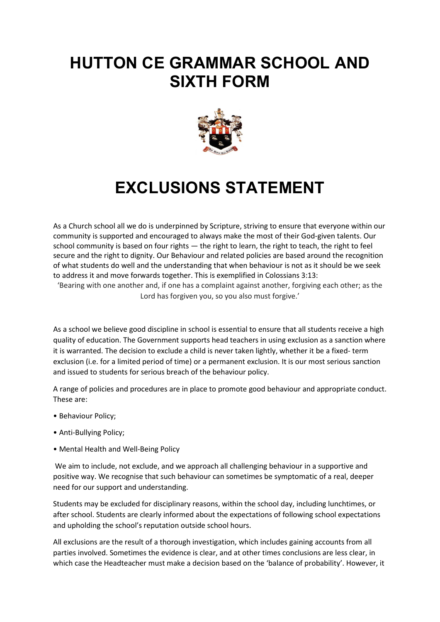## **HUTTON CE GRAMMAR SCHOOL AND SIXTH FORM**



# **EXCLUSIONS STATEMENT**

As a Church school all we do is underpinned by Scripture, striving to ensure that everyone within our community is supported and encouraged to always make the most of their God-given talents. Our school community is based on four rights — the right to learn, the right to teach, the right to feel secure and the right to dignity. Our Behaviour and related policies are based around the recognition of what students do well and the understanding that when behaviour is not as it should be we seek to address it and move forwards together. This is exemplified in Colossians 3:13: 'Bearing with one another and, if one has a complaint against another, forgiving each other; as the

Lord has forgiven you, so you also must forgive.'

As a school we believe good discipline in school is essential to ensure that all students receive a high quality of education. The Government supports head teachers in using exclusion as a sanction where it is warranted. The decision to exclude a child is never taken lightly, whether it be a fixed- term exclusion (i.e. for a limited period of time) or a permanent exclusion. It is our most serious sanction and issued to students for serious breach of the behaviour policy.

A range of policies and procedures are in place to promote good behaviour and appropriate conduct. These are:

- Behaviour Policy;
- Anti-Bullying Policy;
- Mental Health and Well-Being Policy

We aim to include, not exclude, and we approach all challenging behaviour in a supportive and positive way. We recognise that such behaviour can sometimes be symptomatic of a real, deeper need for our support and understanding.

Students may be excluded for disciplinary reasons, within the school day, including lunchtimes, or after school. Students are clearly informed about the expectations of following school expectations and upholding the school's reputation outside school hours.

All exclusions are the result of a thorough investigation, which includes gaining accounts from all parties involved. Sometimes the evidence is clear, and at other times conclusions are less clear, in which case the Headteacher must make a decision based on the 'balance of probability'. However, it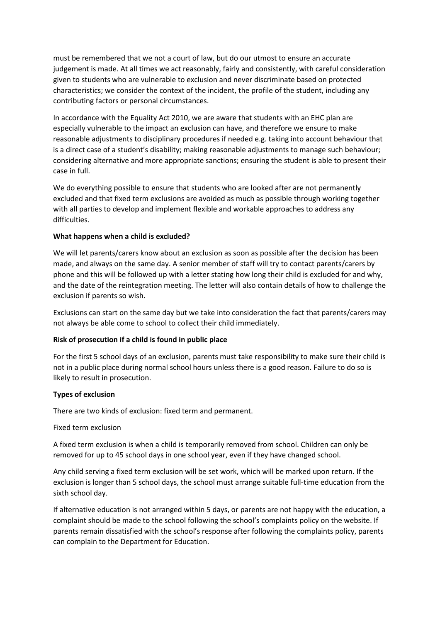must be remembered that we not a court of law, but do our utmost to ensure an accurate judgement is made. At all times we act reasonably, fairly and consistently, with careful consideration given to students who are vulnerable to exclusion and never discriminate based on protected characteristics; we consider the context of the incident, the profile of the student, including any contributing factors or personal circumstances.

In accordance with the Equality Act 2010, we are aware that students with an EHC plan are especially vulnerable to the impact an exclusion can have, and therefore we ensure to make reasonable adjustments to disciplinary procedures if needed e.g. taking into account behaviour that is a direct case of a student's disability; making reasonable adjustments to manage such behaviour; considering alternative and more appropriate sanctions; ensuring the student is able to present their case in full.

We do everything possible to ensure that students who are looked after are not permanently excluded and that fixed term exclusions are avoided as much as possible through working together with all parties to develop and implement flexible and workable approaches to address any difficulties.

#### **What happens when a child is excluded?**

We will let parents/carers know about an exclusion as soon as possible after the decision has been made, and always on the same day. A senior member of staff will try to contact parents/carers by phone and this will be followed up with a letter stating how long their child is excluded for and why, and the date of the reintegration meeting. The letter will also contain details of how to challenge the exclusion if parents so wish.

Exclusions can start on the same day but we take into consideration the fact that parents/carers may not always be able come to school to collect their child immediately.

#### **Risk of prosecution if a child is found in public place**

For the first 5 school days of an exclusion, parents must take responsibility to make sure their child is not in a public place during normal school hours unless there is a good reason. Failure to do so is likely to result in prosecution.

#### **Types of exclusion**

There are two kinds of exclusion: fixed term and permanent.

#### Fixed term exclusion

A fixed term exclusion is when a child is temporarily removed from school. Children can only be removed for up to 45 school days in one school year, even if they have changed school.

Any child serving a fixed term exclusion will be set work, which will be marked upon return. If the exclusion is longer than 5 school days, the school must arrange suitable full-time education from the sixth school day.

If alternative education is not arranged within 5 days, or parents are not happy with the education, a complaint should be made to the school following the school's complaints policy on the website. If parents remain dissatisfied with the school's response after following the complaints policy, parents can complain to the Department for Education.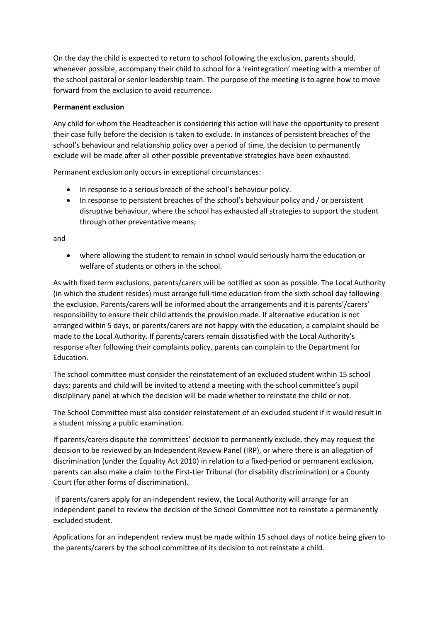On the day the child is expected to return to school following the exclusion, parents should, whenever possible, accompany their child to school for a 'reintegration' meeting with a member of the school pastoral or senior leadership team. The purpose of the meeting is to agree how to move forward from the exclusion to avoid recurrence.

### **Permanent exclusion**

Any child for whom the Headteacher is considering this action will have the opportunity to present their case fully before the decision is taken to exclude. In instances of persistent breaches of the school's behaviour and relationship policy over a period of time, the decision to permanently exclude will be made after all other possible preventative strategies have been exhausted.

Permanent exclusion only occurs in exceptional circumstances:

- In response to a serious breach of the school's behaviour policy.
- In response to persistent breaches of the school's behaviour policy and / or persistent disruptive behaviour, where the school has exhausted all strategies to support the student through other preventative means;

and

• where allowing the student to remain in school would seriously harm the education or welfare of students or others in the school.

As with fixed term exclusions, parents/carers will be notified as soon as possible. The Local Authority (in which the student resides) must arrange full-time education from the sixth school day following the exclusion. Parents/carers will be informed about the arrangements and it is parents'/carers' responsibility to ensure their child attends the provision made. If alternative education is not arranged within 5 days, or parents/carers are not happy with the education, a complaint should be made to the Local Authority. If parents/carers remain dissatisfied with the Local Authority's response after following their complaints policy, parents can complain to the Department for Education.

The school committee must consider the reinstatement of an excluded student within 15 school days; parents and child will be invited to attend a meeting with the school committee's pupil disciplinary panel at which the decision will be made whether to reinstate the child or not.

The School Committee must also consider reinstatement of an excluded student if it would result in a student missing a public examination.

If parents/carers dispute the committees' decision to permanently exclude, they may request the decision to be reviewed by an Independent Review Panel (IRP), or where there is an allegation of discrimination (under the Equality Act 2010) in relation to a fixed-period or permanent exclusion, parents can also make a claim to the First-tier Tribunal (for disability discrimination) or a County Court (for other forms of discrimination).

If parents/carers apply for an independent review, the Local Authority will arrange for an independent panel to review the decision of the School Committee not to reinstate a permanently excluded student.

Applications for an independent review must be made within 15 school days of notice being given to the parents/carers by the school committee of its decision to not reinstate a child.